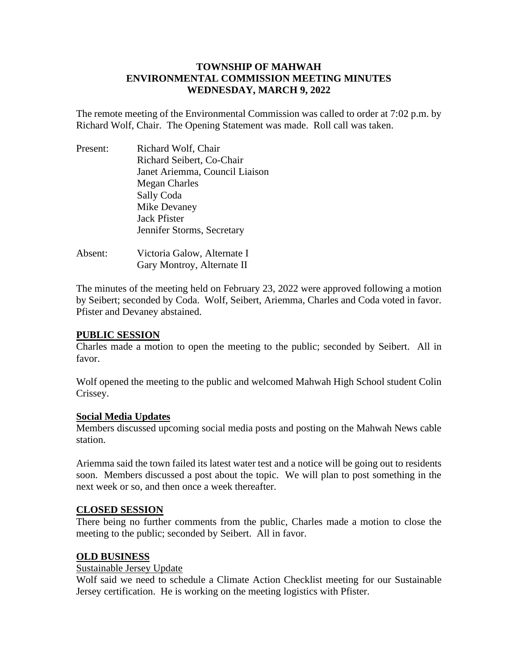# **TOWNSHIP OF MAHWAH ENVIRONMENTAL COMMISSION MEETING MINUTES WEDNESDAY, MARCH 9, 2022**

The remote meeting of the Environmental Commission was called to order at 7:02 p.m. by Richard Wolf, Chair. The Opening Statement was made. Roll call was taken.

| Present: | Richard Wolf, Chair            |
|----------|--------------------------------|
|          | Richard Seibert, Co-Chair      |
|          | Janet Ariemma, Council Liaison |
|          | <b>Megan Charles</b>           |
|          | Sally Coda                     |
|          | Mike Devaney                   |
|          | <b>Jack Pfister</b>            |
|          | Jennifer Storms, Secretary     |
| Absent:  | Victoria Galow, Alternate I    |

Gary Montroy, Alternate II

The minutes of the meeting held on February 23, 2022 were approved following a motion by Seibert; seconded by Coda. Wolf, Seibert, Ariemma, Charles and Coda voted in favor. Pfister and Devaney abstained.

## **PUBLIC SESSION**

Charles made a motion to open the meeting to the public; seconded by Seibert. All in favor.

Wolf opened the meeting to the public and welcomed Mahwah High School student Colin Crissey.

### **Social Media Updates**

Members discussed upcoming social media posts and posting on the Mahwah News cable station.

Ariemma said the town failed its latest water test and a notice will be going out to residents soon. Members discussed a post about the topic. We will plan to post something in the next week or so, and then once a week thereafter.

### **CLOSED SESSION**

There being no further comments from the public, Charles made a motion to close the meeting to the public; seconded by Seibert. All in favor.

### **OLD BUSINESS**

# Sustainable Jersey Update

Wolf said we need to schedule a Climate Action Checklist meeting for our Sustainable Jersey certification. He is working on the meeting logistics with Pfister.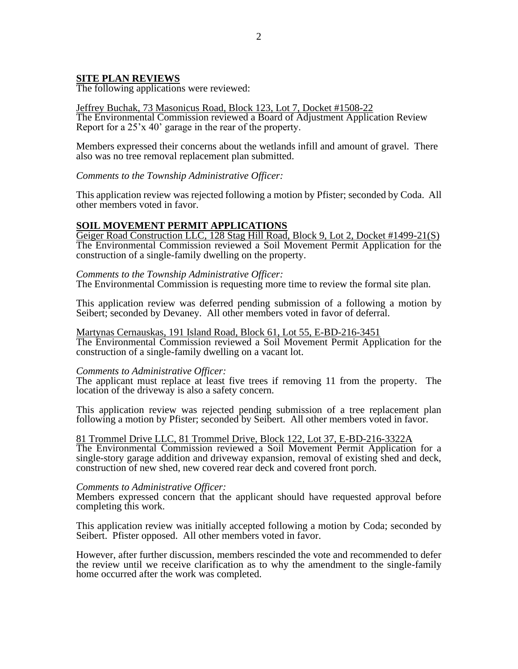### **SITE PLAN REVIEWS**

The following applications were reviewed:

Jeffrey Buchak, 73 Masonicus Road, Block 123, Lot 7, Docket #1508-22 The Environmental Commission reviewed a Board of Adjustment Application Review Report for a 25'x 40' garage in the rear of the property.

Members expressed their concerns about the wetlands infill and amount of gravel. There also was no tree removal replacement plan submitted.

*Comments to the Township Administrative Officer:*

This application review was rejected following a motion by Pfister; seconded by Coda. All other members voted in favor.

## **SOIL MOVEMENT PERMIT APPLICATIONS**

Geiger Road Construction LLC, 128 Stag Hill Road, Block 9, Lot 2, Docket #1499-21(S) The Environmental Commission reviewed a Soil Movement Permit Application for the construction of a single-family dwelling on the property.

#### *Comments to the Township Administrative Officer:*

The Environmental Commission is requesting more time to review the formal site plan.

This application review was deferred pending submission of a following a motion by Seibert; seconded by Devaney. All other members voted in favor of deferral.

#### Martynas Cernauskas, 191 Island Road, Block 61, Lot 55, E-BD-216-3451

The Environmental Commission reviewed a Soil Movement Permit Application for the construction of a single-family dwelling on a vacant lot.

#### *Comments to Administrative Officer:*

The applicant must replace at least five trees if removing 11 from the property. The location of the driveway is also a safety concern.

This application review was rejected pending submission of a tree replacement plan following a motion by Pfister; seconded by Seibert. All other members voted in favor.

#### 81 Trommel Drive LLC, 81 Trommel Drive, Block 122, Lot 37, E-BD-216-3322A

The Environmental Commission reviewed a Soil Movement Permit Application for a single-story garage addition and driveway expansion, removal of existing shed and deck, construction of new shed, new covered rear deck and covered front porch.

#### *Comments to Administrative Officer:*

Members expressed concern that the applicant should have requested approval before completing this work.

This application review was initially accepted following a motion by Coda; seconded by Seibert. Pfister opposed. All other members voted in favor.

However, after further discussion, members rescinded the vote and recommended to defer the review until we receive clarification as to why the amendment to the single-family home occurred after the work was completed.